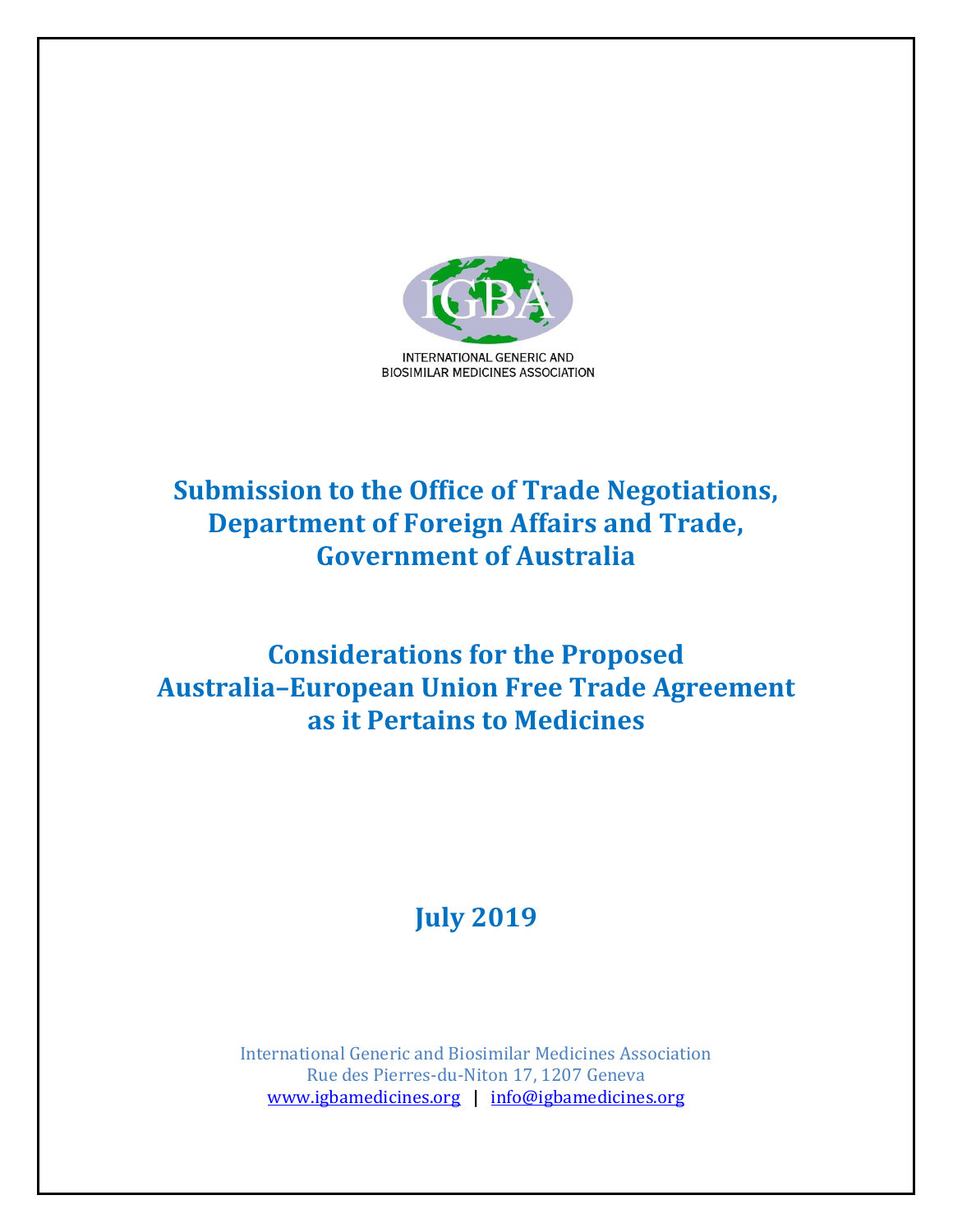

## **Submission to the Office of Trade Negotiations, Department of Foreign Affairs and Trade, Government of Australia**

## **Considerations for the Proposed Australia–European Union Free Trade Agreement as it Pertains to Medicines**

# **July 2019**

International Generic and Biosimilar Medicines Association Rue des Pierres-du-Niton 17, 1207 Geneva [www.igbamedicines.org](http://www.igbamedicines.org/) **|** [info@igbamedicines.org](mailto:info@igbamedicines.org)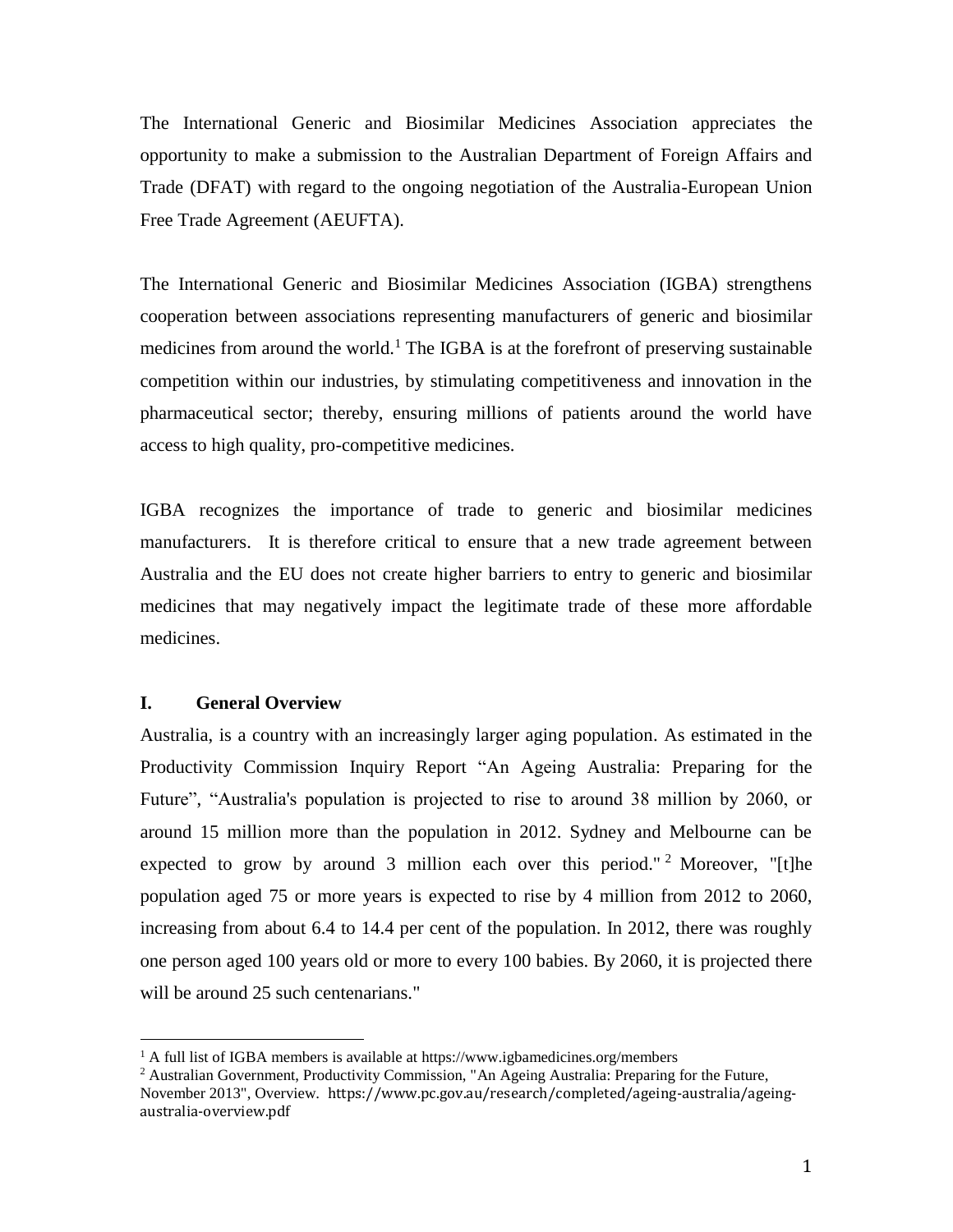The International Generic and Biosimilar Medicines Association appreciates the opportunity to make a submission to the Australian Department of Foreign Affairs and Trade (DFAT) with regard to the ongoing negotiation of the Australia-European Union Free Trade Agreement (AEUFTA).

The International Generic and Biosimilar Medicines Association (IGBA) strengthens cooperation between associations representing manufacturers of generic and biosimilar medicines from around the world.<sup>1</sup> The IGBA is at the forefront of preserving sustainable competition within our industries, by stimulating competitiveness and innovation in the pharmaceutical sector; thereby, ensuring millions of patients around the world have access to high quality, pro-competitive medicines.

IGBA recognizes the importance of trade to generic and biosimilar medicines manufacturers. It is therefore critical to ensure that a new trade agreement between Australia and the EU does not create higher barriers to entry to generic and biosimilar medicines that may negatively impact the legitimate trade of these more affordable medicines.

## **I. General Overview**

 $\overline{a}$ 

Australia, is a country with an increasingly larger aging population. As estimated in the Productivity Commission Inquiry Report "An Ageing Australia: Preparing for the Future", "Australia's population is projected to rise to around 38 million by 2060, or around 15 million more than the population in 2012. Sydney and Melbourne can be expected to grow by around 3 million each over this period." <sup>2</sup> Moreover, "[t]he population aged 75 or more years is expected to rise by 4 million from 2012 to 2060, increasing from about 6.4 to 14.4 per cent of the population. In 2012, there was roughly one person aged 100 years old or more to every 100 babies. By 2060, it is projected there will be around 25 such centenarians."

<sup>&</sup>lt;sup>1</sup> A full list of IGBA members is available at https://www.igbamedicines.org/members

<sup>&</sup>lt;sup>2</sup> Australian Government, Productivity Commission, "An Ageing Australia: Preparing for the Future, November 2013", Overview. https://www.pc.gov.au/research/completed/ageing-australia/ageingaustralia-overview.pdf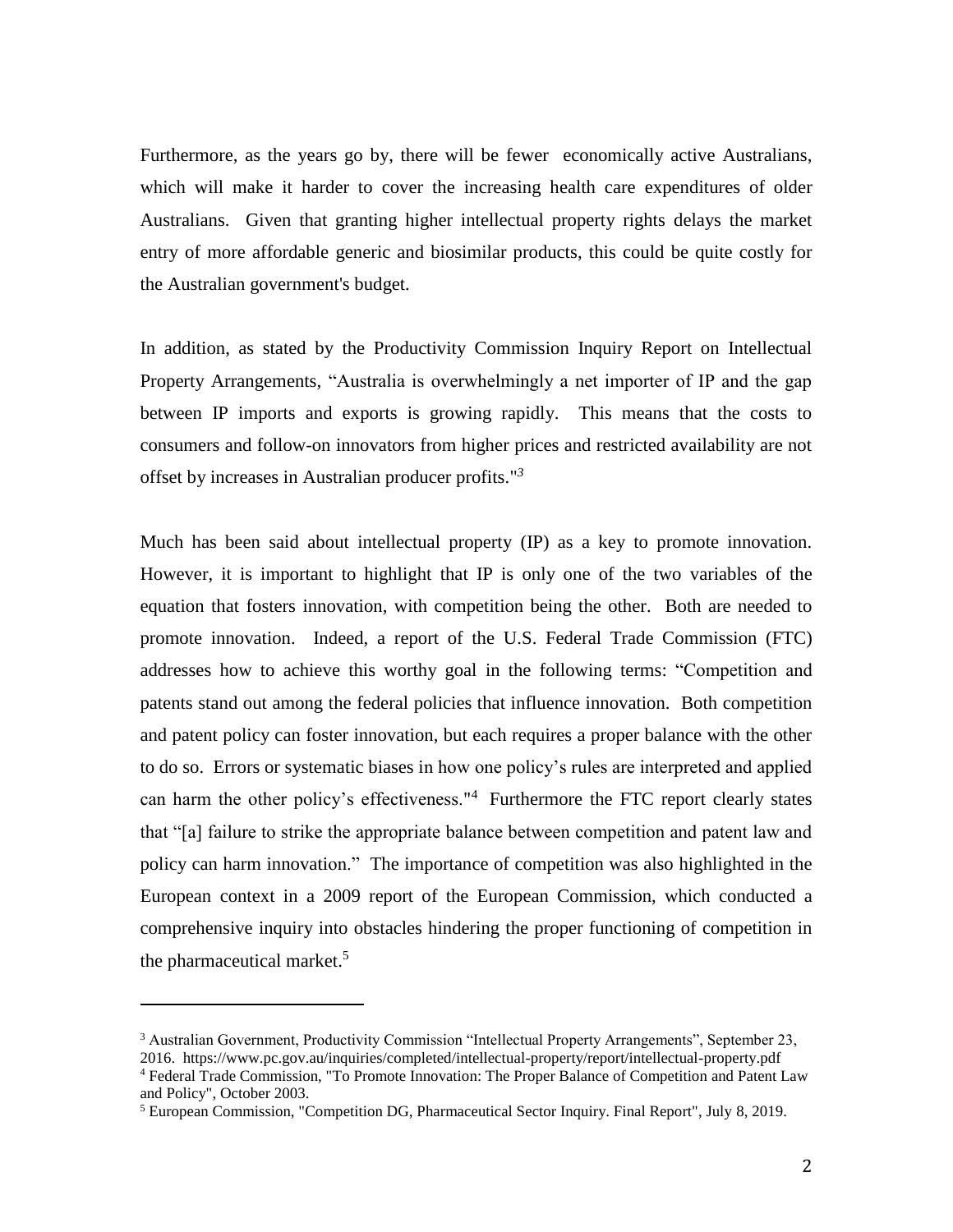Furthermore, as the years go by, there will be fewer economically active Australians, which will make it harder to cover the increasing health care expenditures of older Australians. Given that granting higher intellectual property rights delays the market entry of more affordable generic and biosimilar products, this could be quite costly for the Australian government's budget.

In addition, as stated by the Productivity Commission Inquiry Report on Intellectual Property Arrangements, "Australia is overwhelmingly a net importer of IP and the gap between IP imports and exports is growing rapidly. This means that the costs to consumers and follow-on innovators from higher prices and restricted availability are not offset by increases in Australian producer profits."*<sup>3</sup>*

Much has been said about intellectual property (IP) as a key to promote innovation. However, it is important to highlight that IP is only one of the two variables of the equation that fosters innovation, with competition being the other. Both are needed to promote innovation. Indeed, a report of the U.S. Federal Trade Commission (FTC) addresses how to achieve this worthy goal in the following terms: "Competition and patents stand out among the federal policies that influence innovation. Both competition and patent policy can foster innovation, but each requires a proper balance with the other to do so. Errors or systematic biases in how one policy's rules are interpreted and applied can harm the other policy's effectiveness."<sup>4</sup> Furthermore the FTC report clearly states that "[a] failure to strike the appropriate balance between competition and patent law and policy can harm innovation." The importance of competition was also highlighted in the European context in a 2009 report of the European Commission, which conducted a comprehensive inquiry into obstacles hindering the proper functioning of competition in the pharmaceutical market. 5

<sup>3</sup> Australian Government, Productivity Commission "Intellectual Property Arrangements", September 23, 2016. https://www.pc.gov.au/inquiries/completed/intellectual-property/report/intellectual-property.pdf

<sup>4</sup> Federal Trade Commission, "To Promote Innovation: The Proper Balance of Competition and Patent Law and Policy", October 2003.

<sup>5</sup> European Commission, "Competition DG, Pharmaceutical Sector Inquiry. Final Report", July 8, 2019.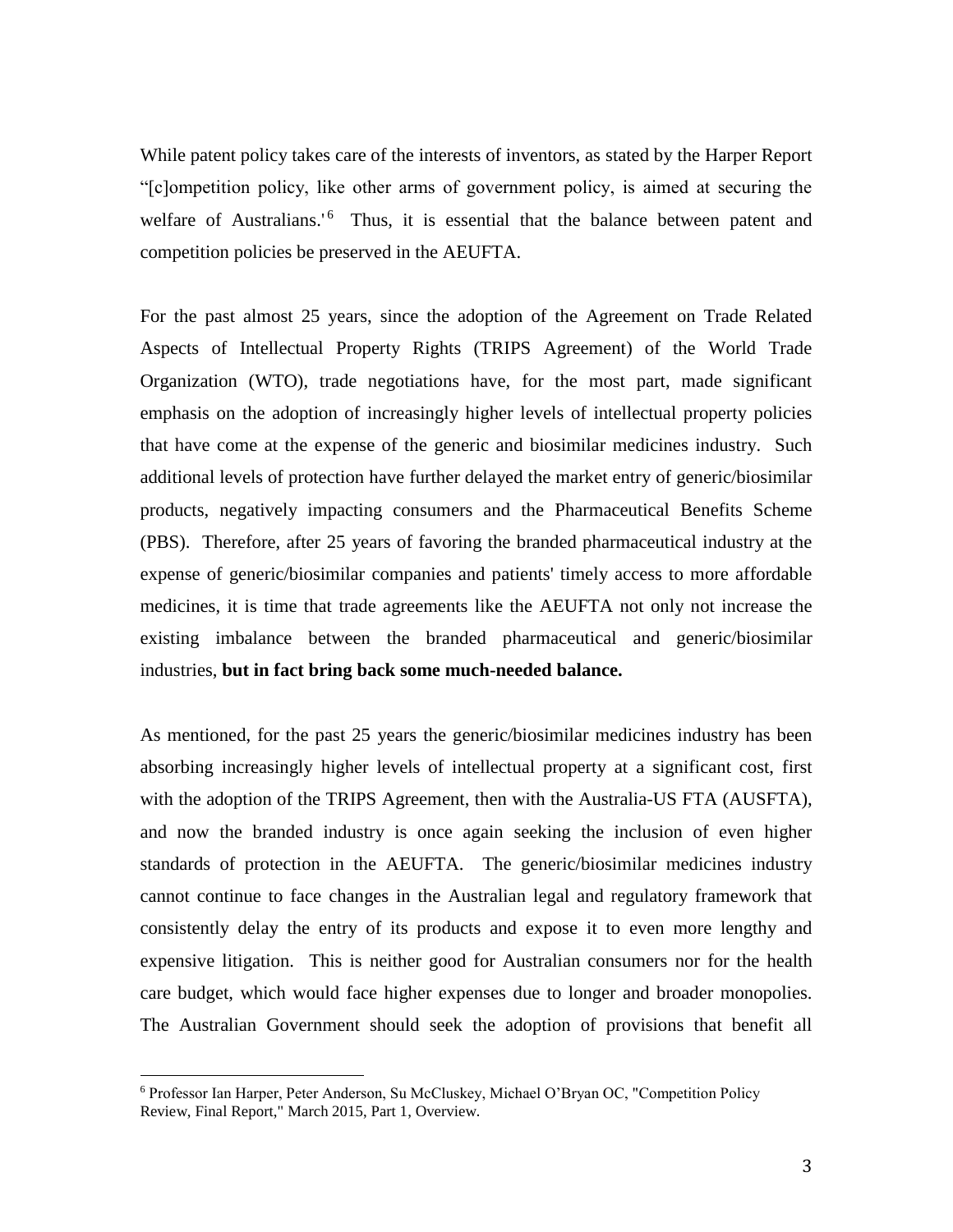While patent policy takes care of the interests of inventors, as stated by the Harper Report "[c]ompetition policy, like other arms of government policy, is aimed at securing the welfare of Australians.<sup>'6</sup> Thus, it is essential that the balance between patent and competition policies be preserved in the AEUFTA.

For the past almost 25 years, since the adoption of the Agreement on Trade Related Aspects of Intellectual Property Rights (TRIPS Agreement) of the World Trade Organization (WTO), trade negotiations have, for the most part, made significant emphasis on the adoption of increasingly higher levels of intellectual property policies that have come at the expense of the generic and biosimilar medicines industry. Such additional levels of protection have further delayed the market entry of generic/biosimilar products, negatively impacting consumers and the Pharmaceutical Benefits Scheme (PBS). Therefore, after 25 years of favoring the branded pharmaceutical industry at the expense of generic/biosimilar companies and patients' timely access to more affordable medicines, it is time that trade agreements like the AEUFTA not only not increase the existing imbalance between the branded pharmaceutical and generic/biosimilar industries, **but in fact bring back some much-needed balance.**

As mentioned, for the past 25 years the generic/biosimilar medicines industry has been absorbing increasingly higher levels of intellectual property at a significant cost, first with the adoption of the TRIPS Agreement, then with the Australia-US FTA (AUSFTA), and now the branded industry is once again seeking the inclusion of even higher standards of protection in the AEUFTA. The generic/biosimilar medicines industry cannot continue to face changes in the Australian legal and regulatory framework that consistently delay the entry of its products and expose it to even more lengthy and expensive litigation. This is neither good for Australian consumers nor for the health care budget, which would face higher expenses due to longer and broader monopolies. The Australian Government should seek the adoption of provisions that benefit all

<sup>6</sup> Professor Ian Harper, Peter Anderson, Su McCluskey, Michael O'Bryan OC, "Competition Policy Review, Final Report," March 2015, Part 1, Overview.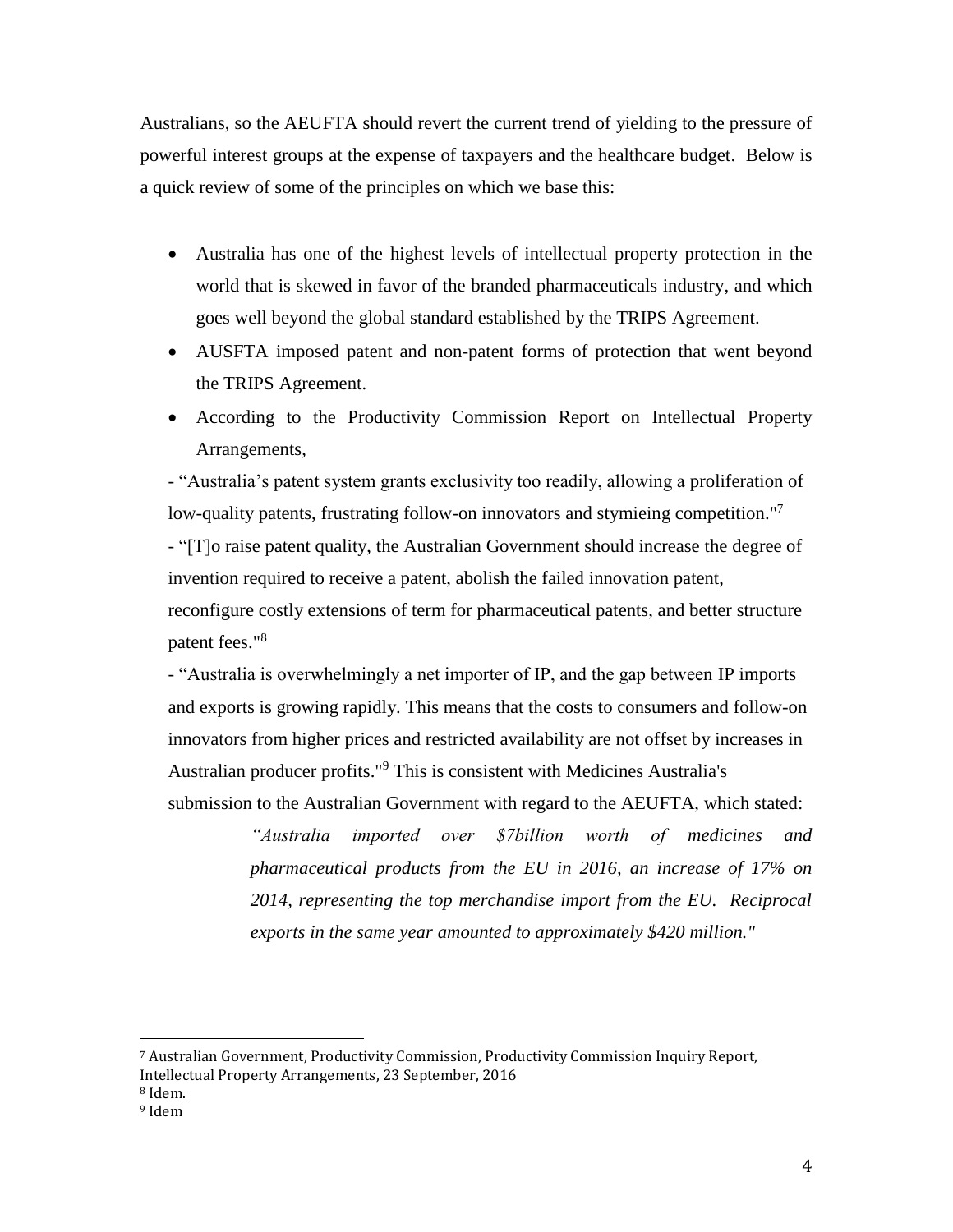Australians, so the AEUFTA should revert the current trend of yielding to the pressure of powerful interest groups at the expense of taxpayers and the healthcare budget. Below is a quick review of some of the principles on which we base this:

- Australia has one of the highest levels of intellectual property protection in the world that is skewed in favor of the branded pharmaceuticals industry, and which goes well beyond the global standard established by the TRIPS Agreement.
- AUSFTA imposed patent and non-patent forms of protection that went beyond the TRIPS Agreement.
- According to the Productivity Commission Report on Intellectual Property Arrangements,

- "Australia's patent system grants exclusivity too readily, allowing a proliferation of low-quality patents, frustrating follow-on innovators and stymieing competition."<sup>7</sup>

- "[T]o raise patent quality, the Australian Government should increase the degree of invention required to receive a patent, abolish the failed innovation patent, reconfigure costly extensions of term for pharmaceutical patents, and better structure patent fees."<sup>8</sup>

- "Australia is overwhelmingly a net importer of IP, and the gap between IP imports and exports is growing rapidly. This means that the costs to consumers and follow-on innovators from higher prices and restricted availability are not offset by increases in Australian producer profits." <sup>9</sup> This is consistent with Medicines Australia's submission to the Australian Government with regard to the AEUFTA, which stated:

> *"Australia imported over \$7billion worth of medicines and pharmaceutical products from the EU in 2016, an increase of 17% on 2014, representing the top merchandise import from the EU. Reciprocal exports in the same year amounted to approximately \$420 million."*

- <sup>8</sup> Idem.
- <sup>9</sup> Idem

<sup>7</sup> Australian Government, Productivity Commission, Productivity Commission Inquiry Report,

Intellectual Property Arrangements, 23 September, 2016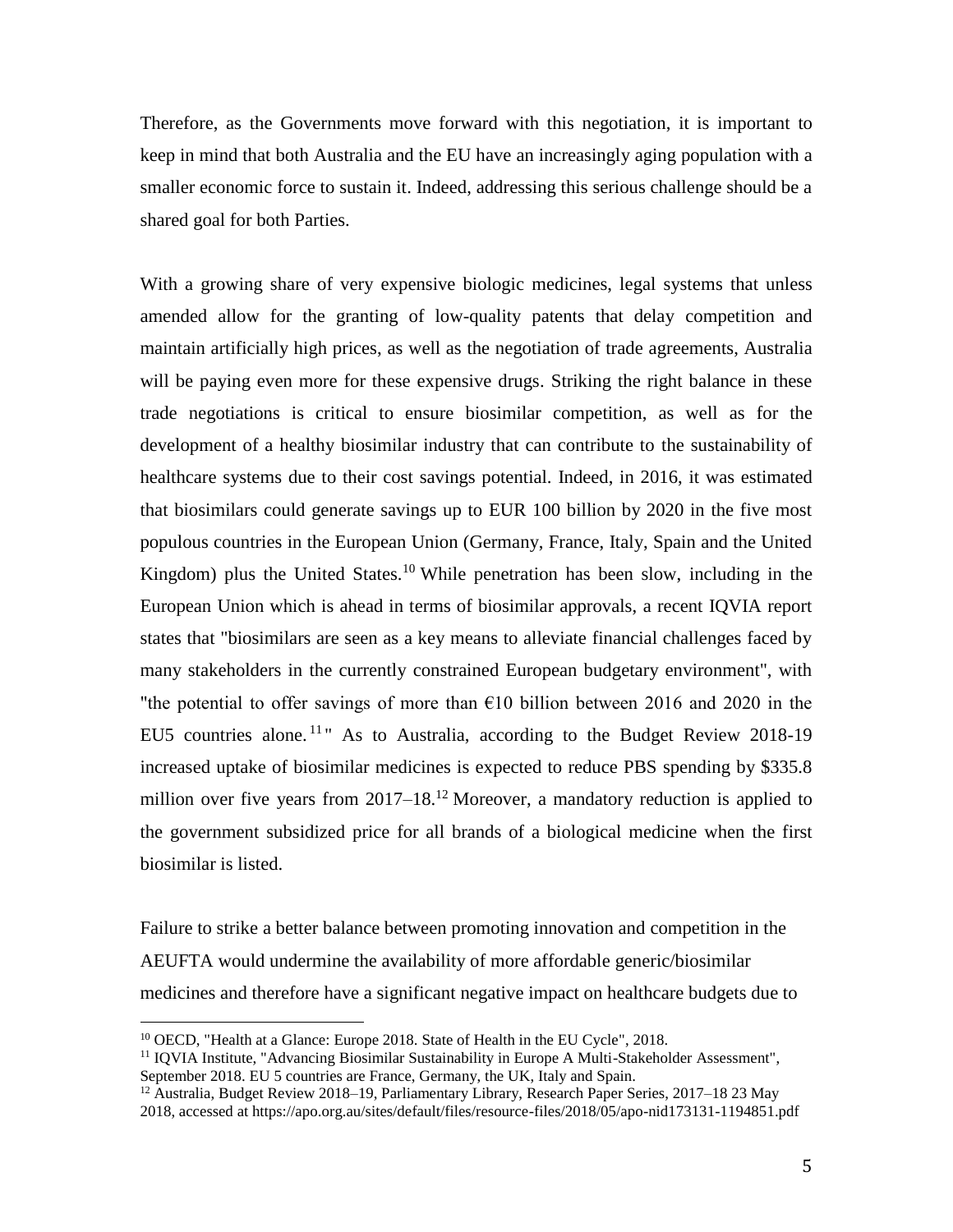Therefore, as the Governments move forward with this negotiation, it is important to keep in mind that both Australia and the EU have an increasingly aging population with a smaller economic force to sustain it. Indeed, addressing this serious challenge should be a shared goal for both Parties.

With a growing share of very expensive biologic medicines, legal systems that unless amended allow for the granting of low-quality patents that delay competition and maintain artificially high prices, as well as the negotiation of trade agreements, Australia will be paying even more for these expensive drugs. Striking the right balance in these trade negotiations is critical to ensure biosimilar competition, as well as for the development of a healthy biosimilar industry that can contribute to the sustainability of healthcare systems due to their cost savings potential. Indeed, in 2016, it was estimated that biosimilars could generate savings up to EUR 100 billion by 2020 in the five most populous countries in the European Union (Germany, France, Italy, Spain and the United Kingdom) plus the United States.<sup>10</sup> While penetration has been slow, including in the European Union which is ahead in terms of biosimilar approvals, a recent IQVIA report states that "biosimilars are seen as a key means to alleviate financial challenges faced by many stakeholders in the currently constrained European budgetary environment", with "the potential to offer savings of more than  $\epsilon$ 10 billion between 2016 and 2020 in the EU5 countries alone.<sup>11</sup> As to Australia, according to the Budget Review 2018-19 increased uptake of biosimilar medicines is expected to reduce PBS spending by \$335.8 million over five years from  $2017-18$ <sup>12</sup> Moreover, a mandatory reduction is applied to the government subsidized price for all brands of a biological medicine when the first biosimilar is listed.

Failure to strike a better balance between promoting innovation and competition in the AEUFTA would undermine the availability of more affordable generic/biosimilar medicines and therefore have a significant negative impact on healthcare budgets due to

<sup>10</sup> OECD, "Health at a Glance: Europe 2018. State of Health in the EU Cycle", 2018.

<sup>&</sup>lt;sup>11</sup> IQVIA Institute, "Advancing Biosimilar Sustainability in Europe A Multi-Stakeholder Assessment", September 2018. EU 5 countries are France, Germany, the UK, Italy and Spain.

<sup>&</sup>lt;sup>12</sup> Australia, Budget Review 2018–19, Parliamentary Library, Research Paper Series, 2017–18 23 May

<sup>2018,</sup> accessed at https://apo.org.au/sites/default/files/resource-files/2018/05/apo-nid173131-1194851.pdf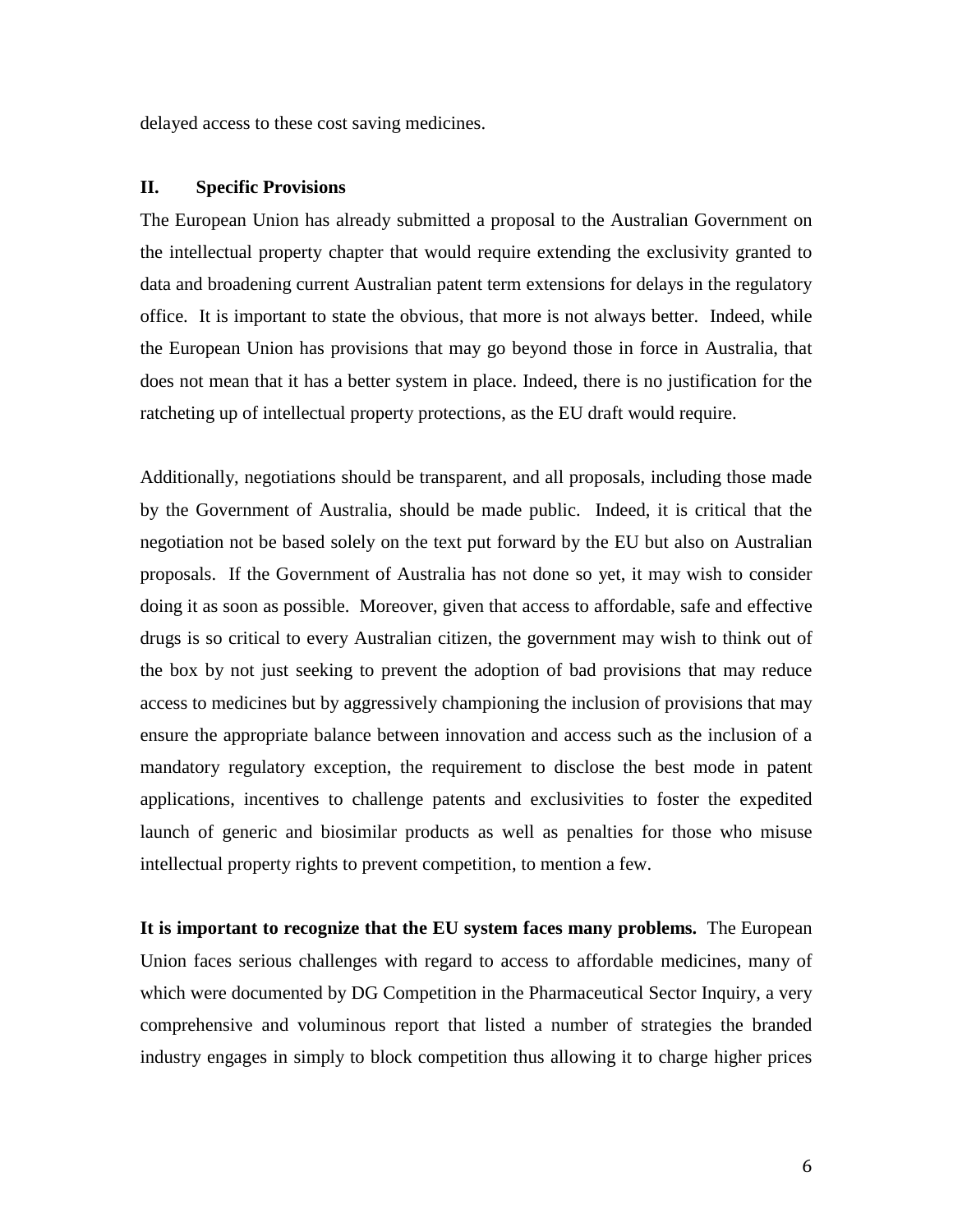delayed access to these cost saving medicines.

#### **II. Specific Provisions**

The European Union has already submitted a proposal to the Australian Government on the intellectual property chapter that would require extending the exclusivity granted to data and broadening current Australian patent term extensions for delays in the regulatory office. It is important to state the obvious, that more is not always better. Indeed, while the European Union has provisions that may go beyond those in force in Australia, that does not mean that it has a better system in place. Indeed, there is no justification for the ratcheting up of intellectual property protections, as the EU draft would require.

Additionally, negotiations should be transparent, and all proposals, including those made by the Government of Australia, should be made public. Indeed, it is critical that the negotiation not be based solely on the text put forward by the EU but also on Australian proposals. If the Government of Australia has not done so yet, it may wish to consider doing it as soon as possible. Moreover, given that access to affordable, safe and effective drugs is so critical to every Australian citizen, the government may wish to think out of the box by not just seeking to prevent the adoption of bad provisions that may reduce access to medicines but by aggressively championing the inclusion of provisions that may ensure the appropriate balance between innovation and access such as the inclusion of a mandatory regulatory exception, the requirement to disclose the best mode in patent applications, incentives to challenge patents and exclusivities to foster the expedited launch of generic and biosimilar products as well as penalties for those who misuse intellectual property rights to prevent competition, to mention a few.

**It is important to recognize that the EU system faces many problems.** The European Union faces serious challenges with regard to access to affordable medicines, many of which were documented by DG Competition in the Pharmaceutical Sector Inquiry, a very comprehensive and voluminous report that listed a number of strategies the branded industry engages in simply to block competition thus allowing it to charge higher prices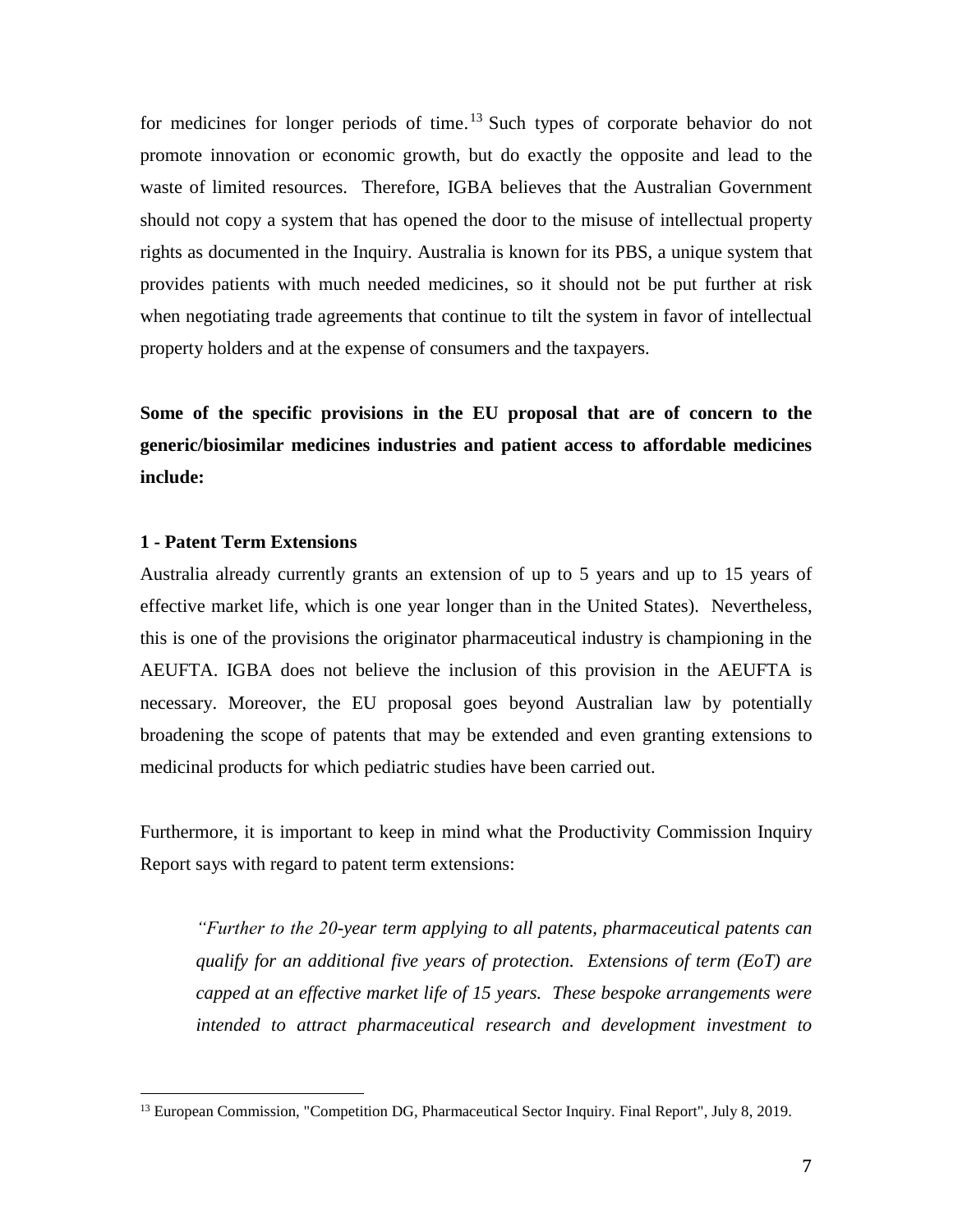for medicines for longer periods of time. <sup>13</sup> Such types of corporate behavior do not promote innovation or economic growth, but do exactly the opposite and lead to the waste of limited resources. Therefore, IGBA believes that the Australian Government should not copy a system that has opened the door to the misuse of intellectual property rights as documented in the Inquiry. Australia is known for its PBS, a unique system that provides patients with much needed medicines, so it should not be put further at risk when negotiating trade agreements that continue to tilt the system in favor of intellectual property holders and at the expense of consumers and the taxpayers.

**Some of the specific provisions in the EU proposal that are of concern to the generic/biosimilar medicines industries and patient access to affordable medicines include:**

## **1 - Patent Term Extensions**

 $\overline{a}$ 

Australia already currently grants an extension of up to 5 years and up to 15 years of effective market life, which is one year longer than in the United States). Nevertheless, this is one of the provisions the originator pharmaceutical industry is championing in the AEUFTA. IGBA does not believe the inclusion of this provision in the AEUFTA is necessary. Moreover, the EU proposal goes beyond Australian law by potentially broadening the scope of patents that may be extended and even granting extensions to medicinal products for which pediatric studies have been carried out.

Furthermore, it is important to keep in mind what the Productivity Commission Inquiry Report says with regard to patent term extensions:

*"Further to the 20-year term applying to all patents, pharmaceutical patents can qualify for an additional five years of protection. Extensions of term (EoT) are capped at an effective market life of 15 years. These bespoke arrangements were intended to attract pharmaceutical research and development investment to* 

<sup>&</sup>lt;sup>13</sup> European Commission, "Competition DG, Pharmaceutical Sector Inquiry. Final Report", July 8, 2019.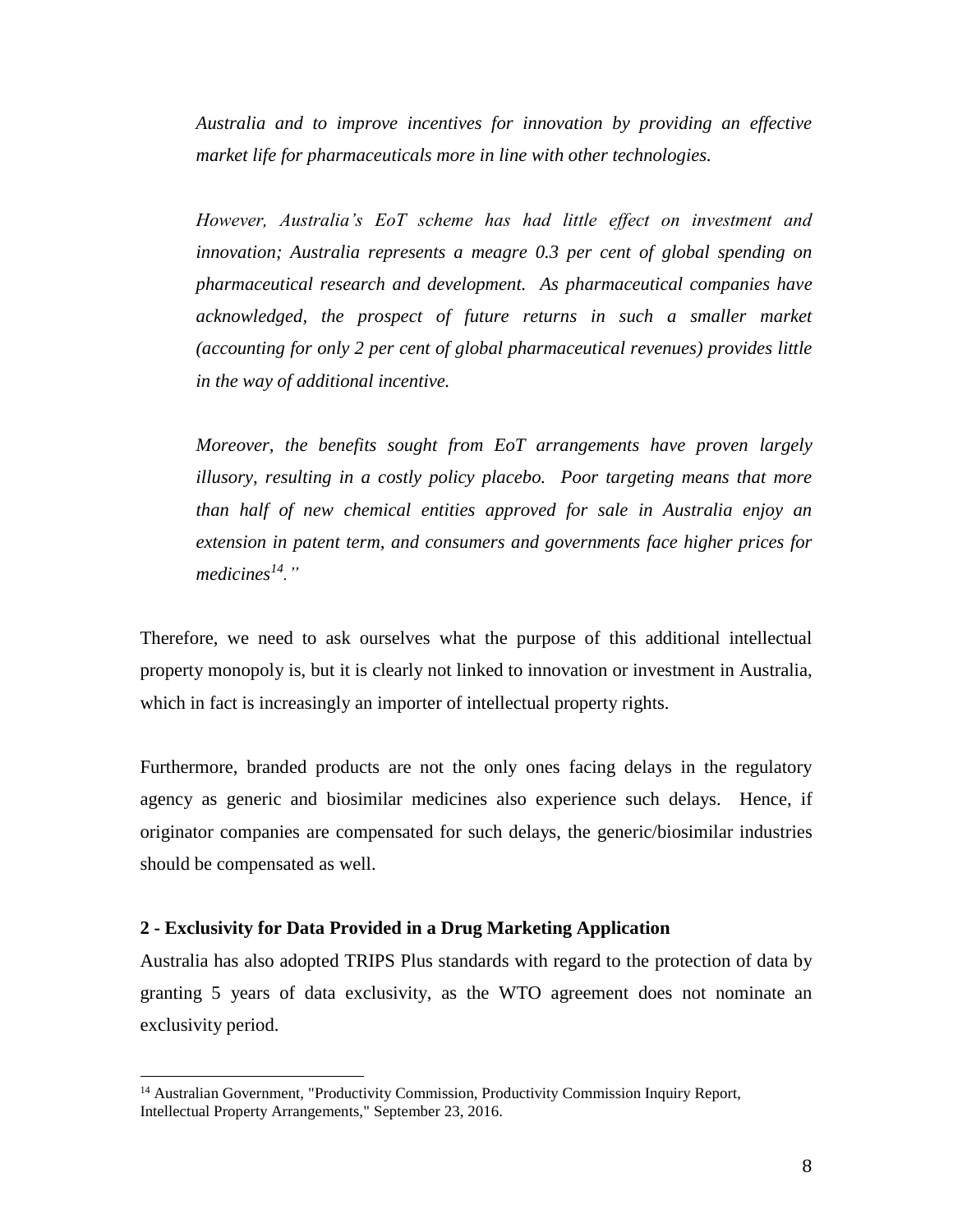*Australia and to improve incentives for innovation by providing an effective market life for pharmaceuticals more in line with other technologies.*

*However, Australia's EoT scheme has had little effect on investment and innovation; Australia represents a meagre 0.3 per cent of global spending on pharmaceutical research and development. As pharmaceutical companies have acknowledged, the prospect of future returns in such a smaller market (accounting for only 2 per cent of global pharmaceutical revenues) provides little in the way of additional incentive.*

*Moreover, the benefits sought from EoT arrangements have proven largely illusory, resulting in a costly policy placebo. Poor targeting means that more than half of new chemical entities approved for sale in Australia enjoy an extension in patent term, and consumers and governments face higher prices for medicines<sup>14</sup>."*

Therefore, we need to ask ourselves what the purpose of this additional intellectual property monopoly is, but it is clearly not linked to innovation or investment in Australia, which in fact is increasingly an importer of intellectual property rights.

Furthermore, branded products are not the only ones facing delays in the regulatory agency as generic and biosimilar medicines also experience such delays. Hence, if originator companies are compensated for such delays, the generic/biosimilar industries should be compensated as well.

#### **2 - Exclusivity for Data Provided in a Drug Marketing Application**

l

Australia has also adopted TRIPS Plus standards with regard to the protection of data by granting 5 years of data exclusivity, as the WTO agreement does not nominate an exclusivity period.

<sup>&</sup>lt;sup>14</sup> Australian Government, "Productivity Commission, Productivity Commission Inquiry Report, Intellectual Property Arrangements," September 23, 2016.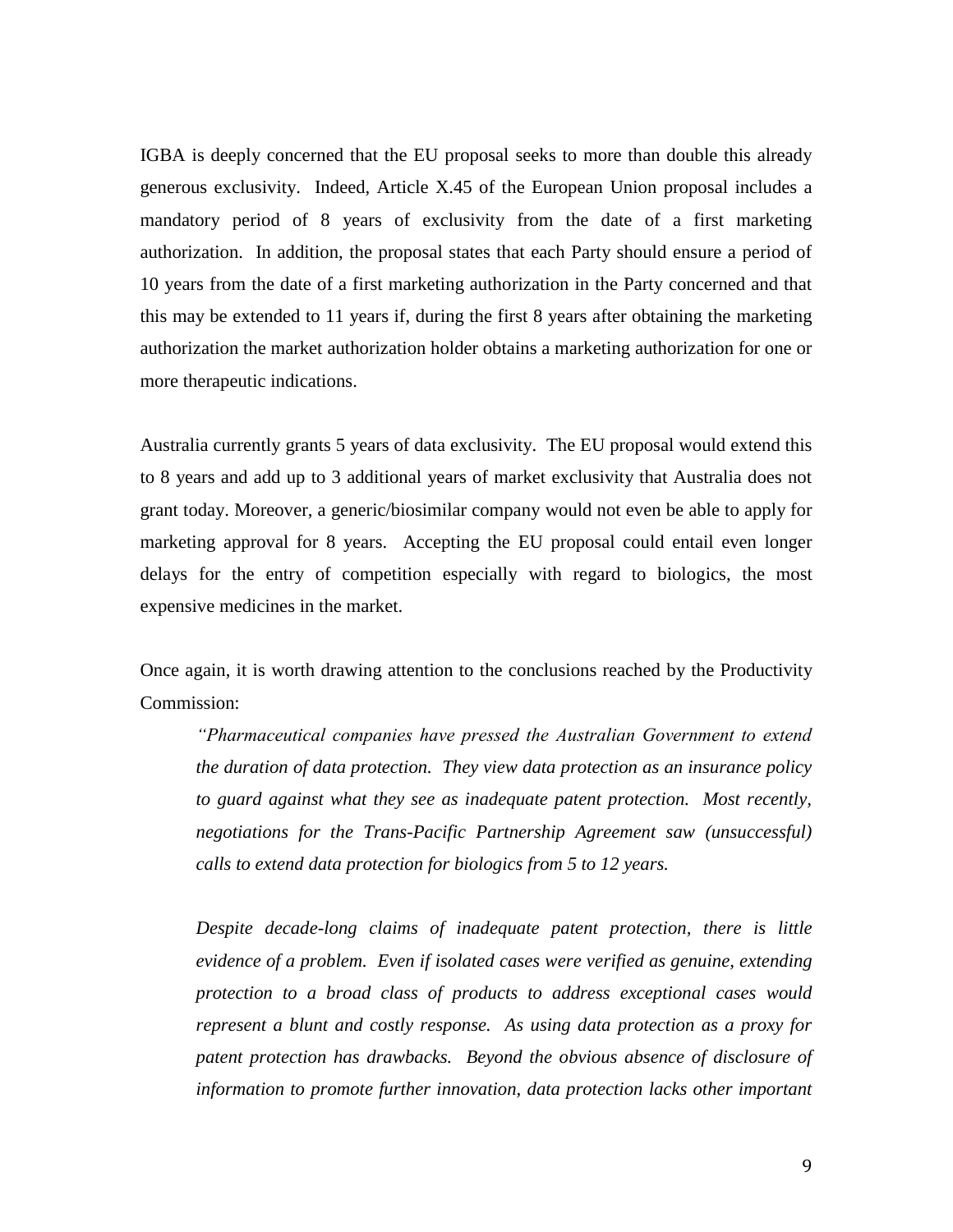IGBA is deeply concerned that the EU proposal seeks to more than double this already generous exclusivity. Indeed, Article X.45 of the European Union proposal includes a mandatory period of 8 years of exclusivity from the date of a first marketing authorization. In addition, the proposal states that each Party should ensure a period of 10 years from the date of a first marketing authorization in the Party concerned and that this may be extended to 11 years if, during the first 8 years after obtaining the marketing authorization the market authorization holder obtains a marketing authorization for one or more therapeutic indications.

Australia currently grants 5 years of data exclusivity. The EU proposal would extend this to 8 years and add up to 3 additional years of market exclusivity that Australia does not grant today. Moreover, a generic/biosimilar company would not even be able to apply for marketing approval for 8 years. Accepting the EU proposal could entail even longer delays for the entry of competition especially with regard to biologics, the most expensive medicines in the market.

Once again, it is worth drawing attention to the conclusions reached by the Productivity Commission:

*"Pharmaceutical companies have pressed the Australian Government to extend the duration of data protection. They view data protection as an insurance policy to guard against what they see as inadequate patent protection. Most recently, negotiations for the Trans-Pacific Partnership Agreement saw (unsuccessful) calls to extend data protection for biologics from 5 to 12 years.* 

*Despite decade-long claims of inadequate patent protection, there is little evidence of a problem. Even if isolated cases were verified as genuine, extending protection to a broad class of products to address exceptional cases would represent a blunt and costly response. As using data protection as a proxy for patent protection has drawbacks. Beyond the obvious absence of disclosure of information to promote further innovation, data protection lacks other important*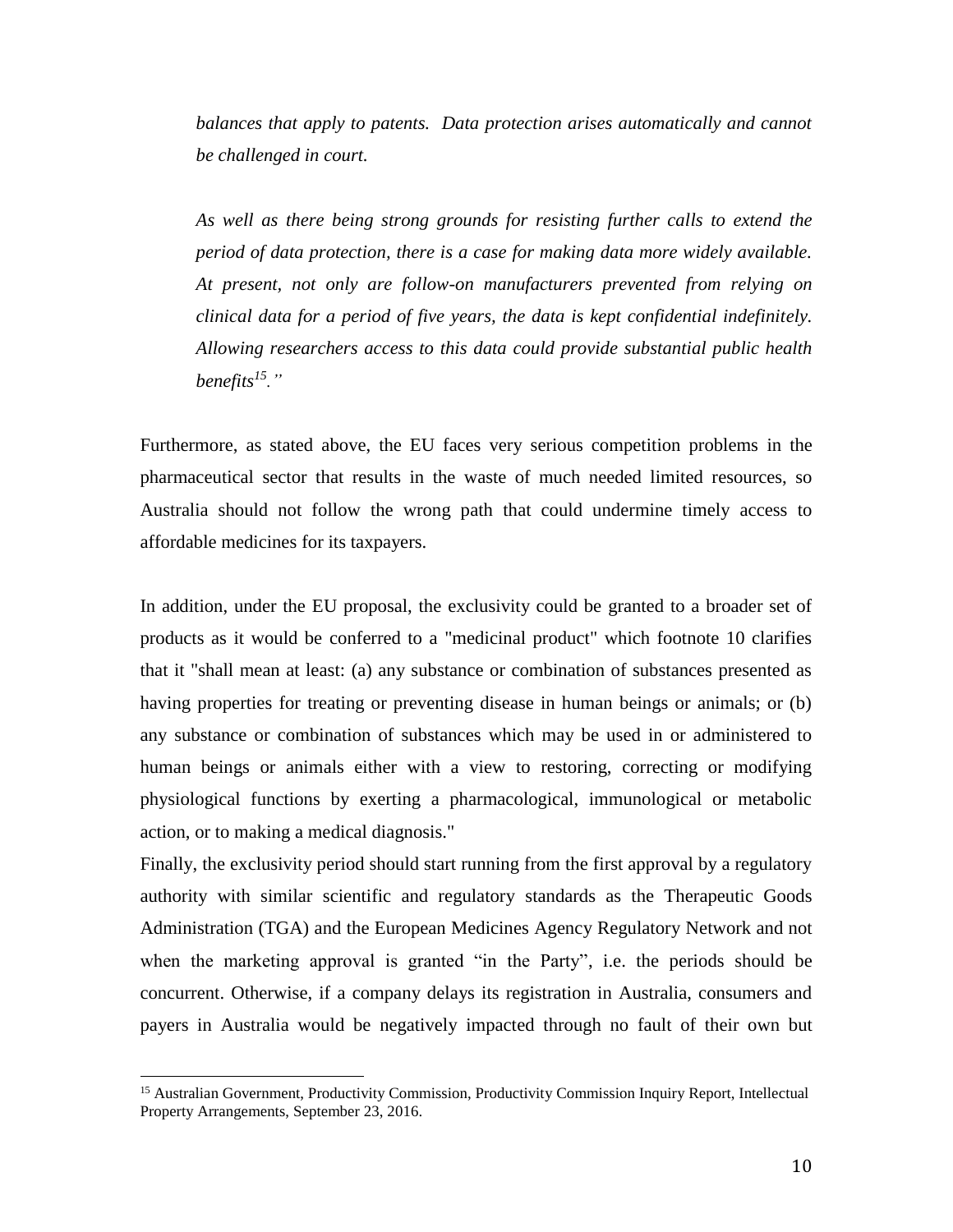*balances that apply to patents. Data protection arises automatically and cannot be challenged in court.*

*As well as there being strong grounds for resisting further calls to extend the period of data protection, there is a case for making data more widely available. At present, not only are follow-on manufacturers prevented from relying on clinical data for a period of five years, the data is kept confidential indefinitely. Allowing researchers access to this data could provide substantial public health benefits<sup>15</sup>."*

Furthermore, as stated above, the EU faces very serious competition problems in the pharmaceutical sector that results in the waste of much needed limited resources, so Australia should not follow the wrong path that could undermine timely access to affordable medicines for its taxpayers.

In addition, under the EU proposal, the exclusivity could be granted to a broader set of products as it would be conferred to a "medicinal product" which footnote 10 clarifies that it "shall mean at least: (a) any substance or combination of substances presented as having properties for treating or preventing disease in human beings or animals; or (b) any substance or combination of substances which may be used in or administered to human beings or animals either with a view to restoring, correcting or modifying physiological functions by exerting a pharmacological, immunological or metabolic action, or to making a medical diagnosis."

Finally, the exclusivity period should start running from the first approval by a regulatory authority with similar scientific and regulatory standards as the Therapeutic Goods Administration (TGA) and the European Medicines Agency Regulatory Network and not when the marketing approval is granted "in the Party", i.e. the periods should be concurrent. Otherwise, if a company delays its registration in Australia, consumers and payers in Australia would be negatively impacted through no fault of their own but

l

<sup>&</sup>lt;sup>15</sup> Australian Government, Productivity Commission, Productivity Commission Inquiry Report, Intellectual Property Arrangements, September 23, 2016.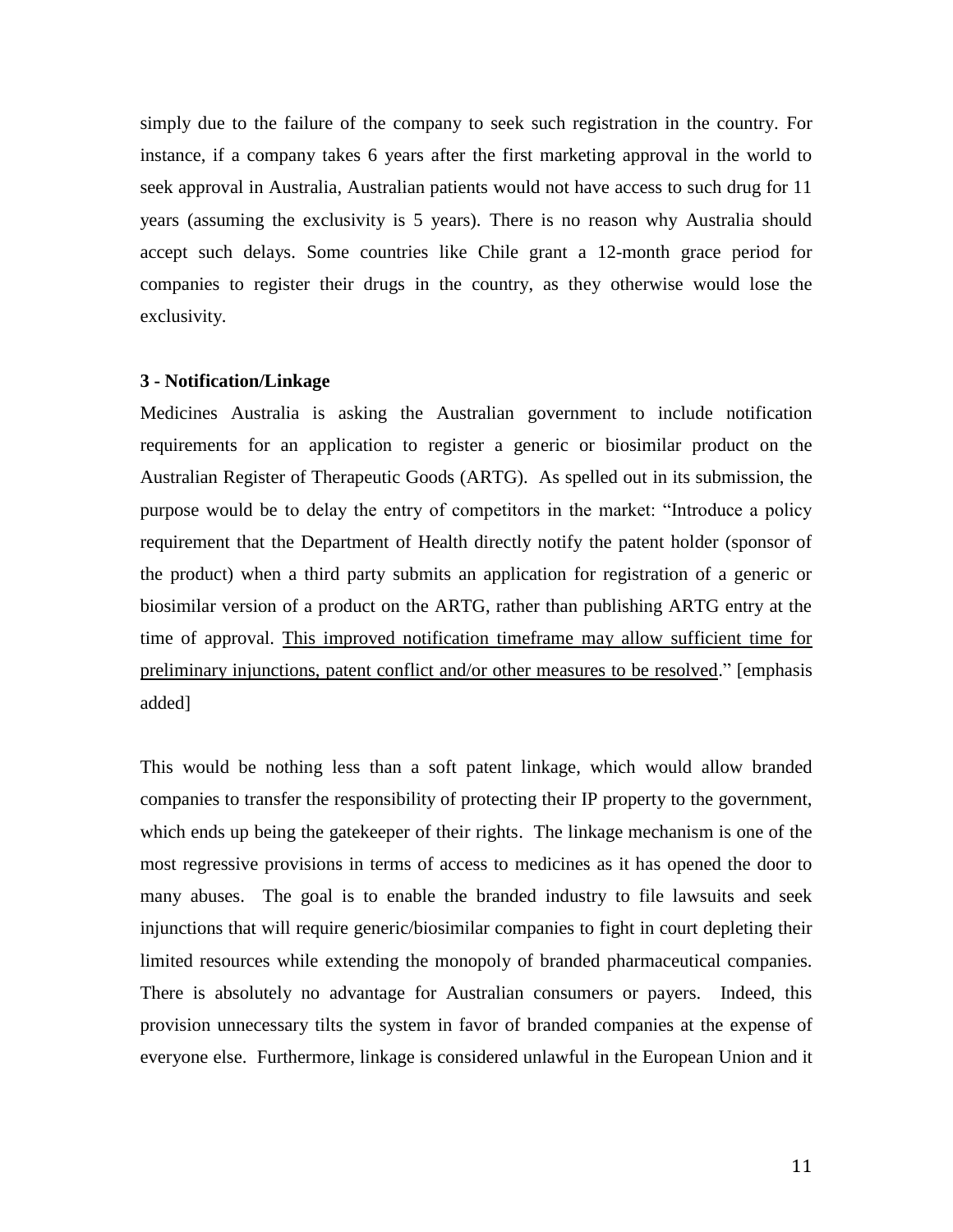simply due to the failure of the company to seek such registration in the country. For instance, if a company takes 6 years after the first marketing approval in the world to seek approval in Australia, Australian patients would not have access to such drug for 11 years (assuming the exclusivity is 5 years). There is no reason why Australia should accept such delays. Some countries like Chile grant a 12-month grace period for companies to register their drugs in the country, as they otherwise would lose the exclusivity.

#### **3 - Notification/Linkage**

Medicines Australia is asking the Australian government to include notification requirements for an application to register a generic or biosimilar product on the Australian Register of Therapeutic Goods (ARTG). As spelled out in its submission, the purpose would be to delay the entry of competitors in the market: "Introduce a policy requirement that the Department of Health directly notify the patent holder (sponsor of the product) when a third party submits an application for registration of a generic or biosimilar version of a product on the ARTG, rather than publishing ARTG entry at the time of approval. This improved notification timeframe may allow sufficient time for preliminary injunctions, patent conflict and/or other measures to be resolved." [emphasis added]

This would be nothing less than a soft patent linkage, which would allow branded companies to transfer the responsibility of protecting their IP property to the government, which ends up being the gatekeeper of their rights. The linkage mechanism is one of the most regressive provisions in terms of access to medicines as it has opened the door to many abuses. The goal is to enable the branded industry to file lawsuits and seek injunctions that will require generic/biosimilar companies to fight in court depleting their limited resources while extending the monopoly of branded pharmaceutical companies. There is absolutely no advantage for Australian consumers or payers. Indeed, this provision unnecessary tilts the system in favor of branded companies at the expense of everyone else. Furthermore, linkage is considered unlawful in the European Union and it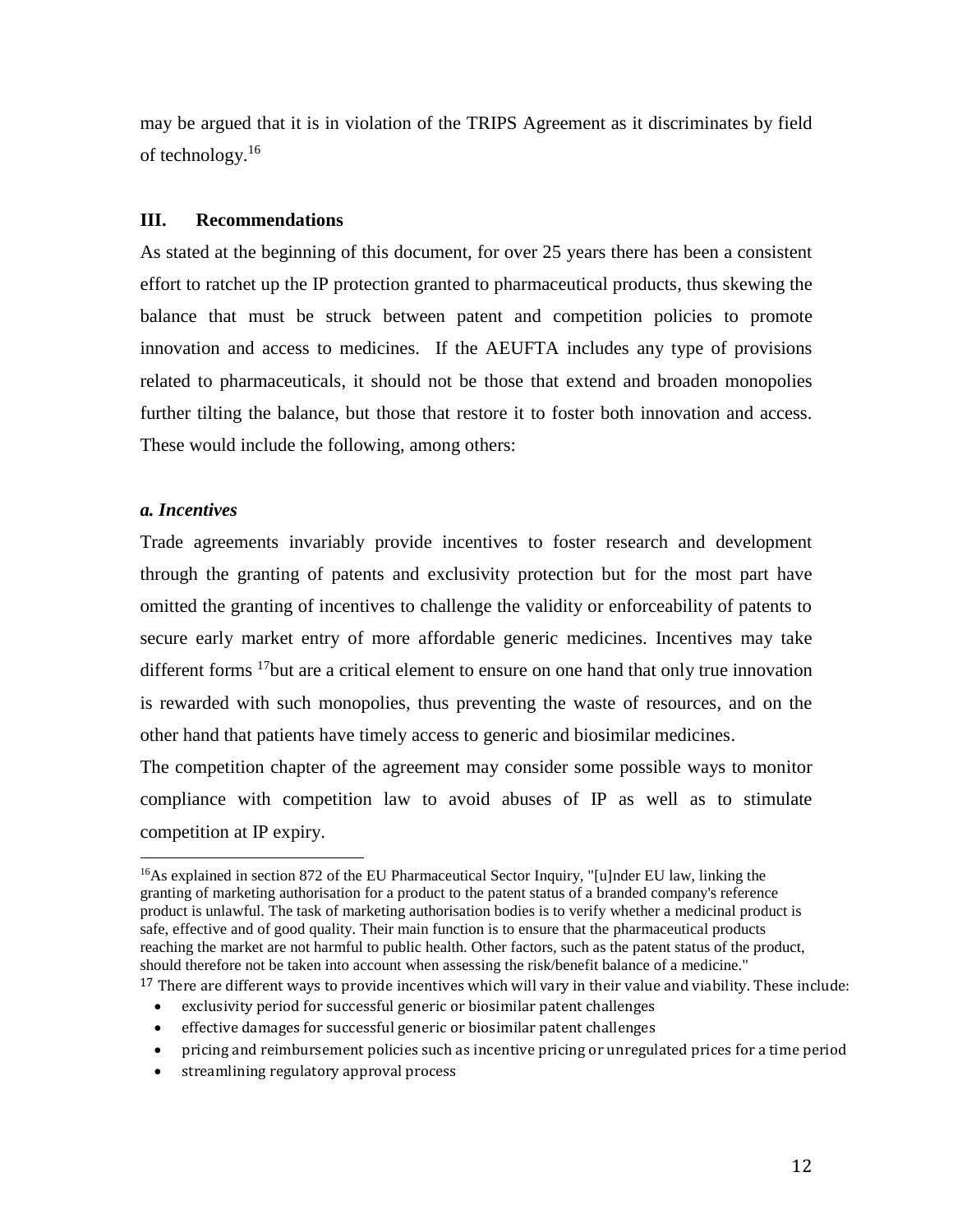may be argued that it is in violation of the TRIPS Agreement as it discriminates by field of technology. $16$ 

## **III. Recommendations**

As stated at the beginning of this document, for over 25 years there has been a consistent effort to ratchet up the IP protection granted to pharmaceutical products, thus skewing the balance that must be struck between patent and competition policies to promote innovation and access to medicines. If the AEUFTA includes any type of provisions related to pharmaceuticals, it should not be those that extend and broaden monopolies further tilting the balance, but those that restore it to foster both innovation and access. These would include the following, among others:

#### *a. Incentives*

 $\overline{a}$ 

Trade agreements invariably provide incentives to foster research and development through the granting of patents and exclusivity protection but for the most part have omitted the granting of incentives to challenge the validity or enforceability of patents to secure early market entry of more affordable generic medicines. Incentives may take different forms <sup>17</sup>but are a critical element to ensure on one hand that only true innovation is rewarded with such monopolies, thus preventing the waste of resources, and on the other hand that patients have timely access to generic and biosimilar medicines.

The competition chapter of the agreement may consider some possible ways to monitor compliance with competition law to avoid abuses of IP as well as to stimulate competition at IP expiry.

<sup>17</sup> There are different ways to provide incentives which will vary in their value and viability. These include:

- exclusivity period for successful generic or biosimilar patent challenges
- effective damages for successful generic or biosimilar patent challenges
- pricing and reimbursement policies such as incentive pricing or unregulated prices for a time period
- streamlining regulatory approval process

<sup>&</sup>lt;sup>16</sup>As explained in section 872 of the EU Pharmaceutical Sector Inquiry, "[u]nder EU law, linking the granting of marketing authorisation for a product to the patent status of a branded company's reference product is unlawful. The task of marketing authorisation bodies is to verify whether a medicinal product is safe, effective and of good quality. Their main function is to ensure that the pharmaceutical products reaching the market are not harmful to public health. Other factors, such as the patent status of the product, should therefore not be taken into account when assessing the risk/benefit balance of a medicine."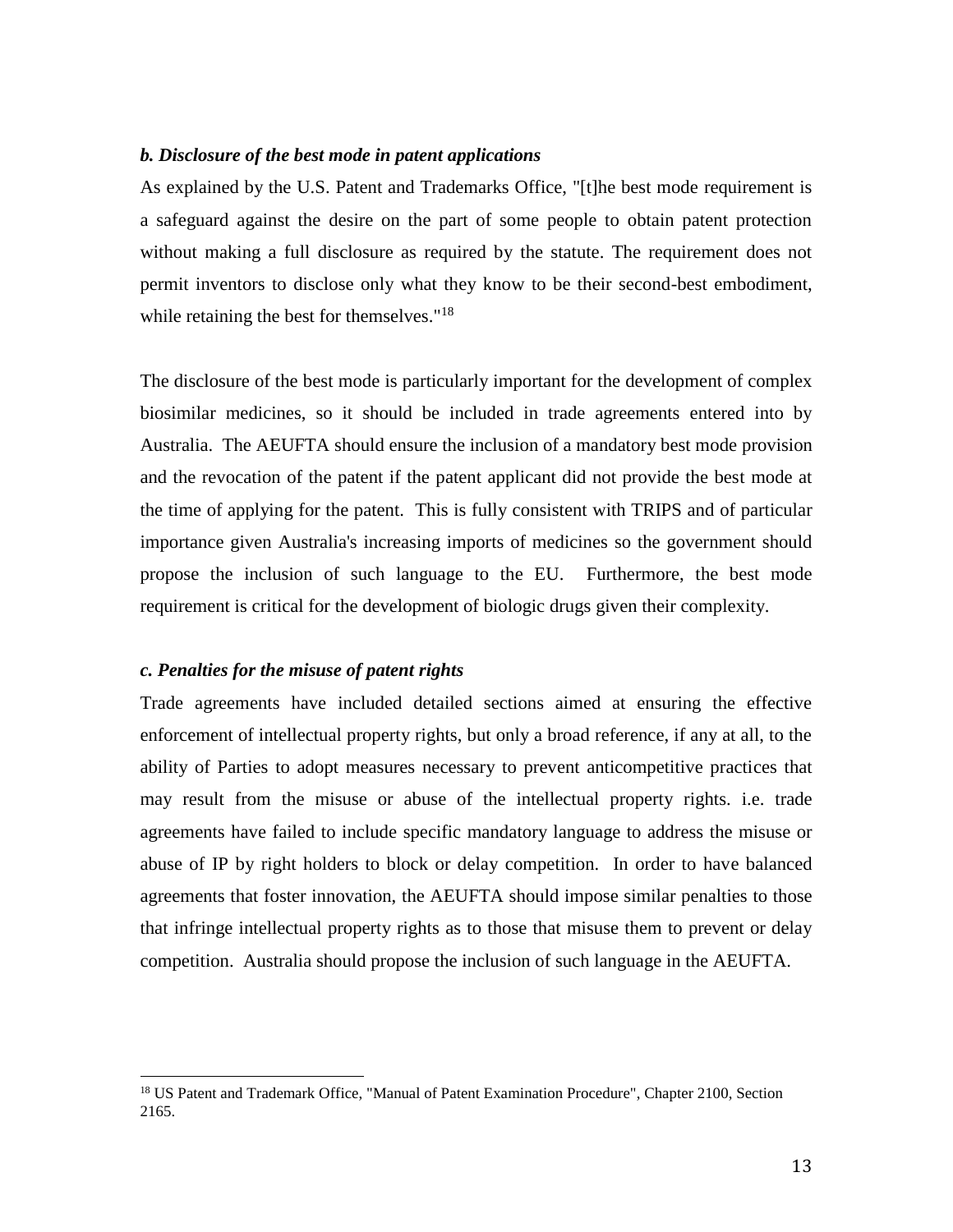#### *b. Disclosure of the best mode in patent applications*

As explained by the U.S. Patent and Trademarks Office, "[t]he best mode requirement is a safeguard against the desire on the part of some people to obtain patent protection without making a full disclosure as required by the statute. The requirement does not permit inventors to disclose only what they know to be their second-best embodiment, while retaining the best for themselves."<sup>18</sup>

The disclosure of the best mode is particularly important for the development of complex biosimilar medicines, so it should be included in trade agreements entered into by Australia. The AEUFTA should ensure the inclusion of a mandatory best mode provision and the revocation of the patent if the patent applicant did not provide the best mode at the time of applying for the patent. This is fully consistent with TRIPS and of particular importance given Australia's increasing imports of medicines so the government should propose the inclusion of such language to the EU. Furthermore, the best mode requirement is critical for the development of biologic drugs given their complexity.

#### *c. Penalties for the misuse of patent rights*

l

Trade agreements have included detailed sections aimed at ensuring the effective enforcement of intellectual property rights, but only a broad reference, if any at all, to the ability of Parties to adopt measures necessary to prevent anticompetitive practices that may result from the misuse or abuse of the intellectual property rights. i.e. trade agreements have failed to include specific mandatory language to address the misuse or abuse of IP by right holders to block or delay competition. In order to have balanced agreements that foster innovation, the AEUFTA should impose similar penalties to those that infringe intellectual property rights as to those that misuse them to prevent or delay competition. Australia should propose the inclusion of such language in the AEUFTA.

<sup>&</sup>lt;sup>18</sup> US Patent and Trademark Office, "Manual of Patent Examination Procedure", Chapter 2100, Section 2165.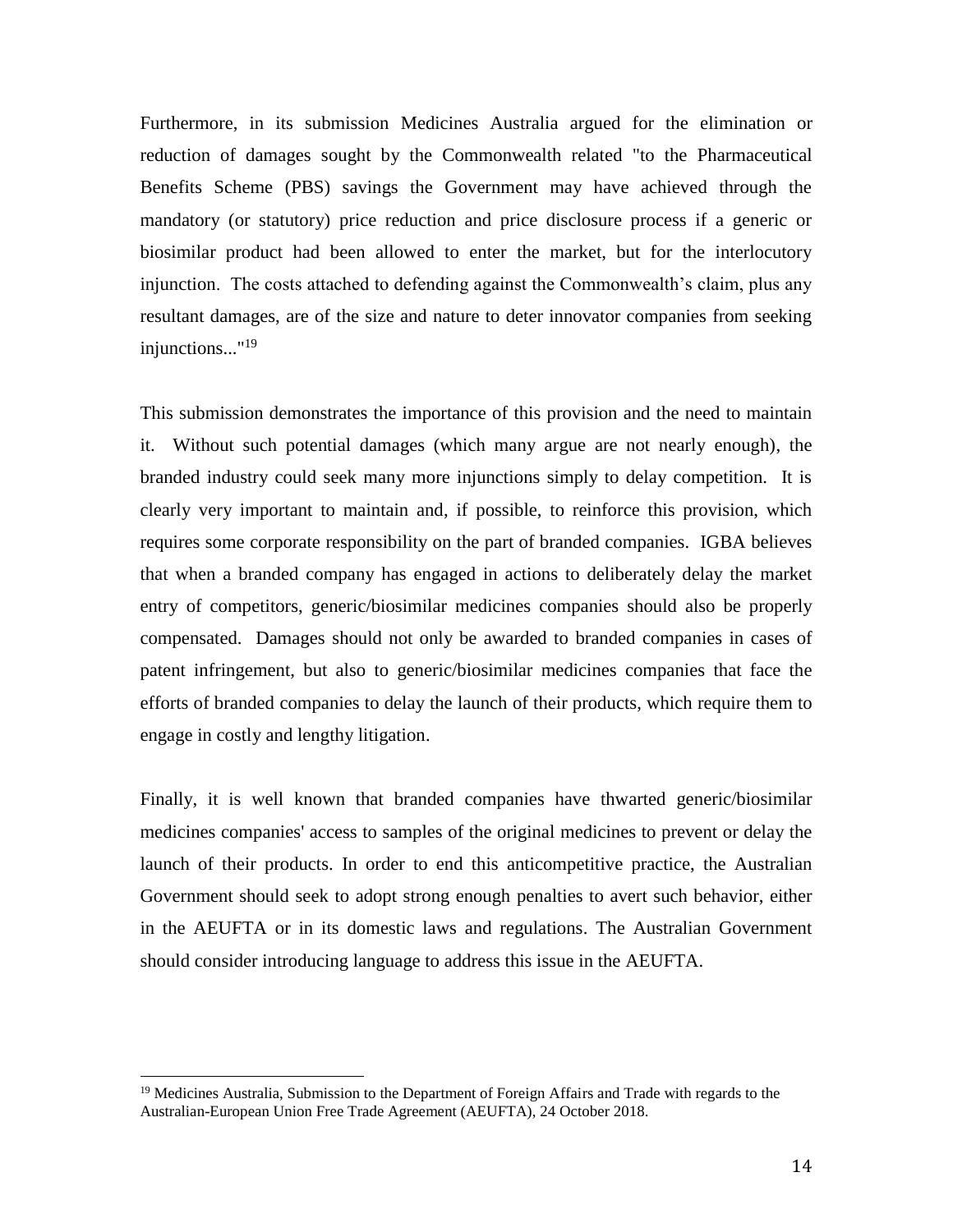Furthermore, in its submission Medicines Australia argued for the elimination or reduction of damages sought by the Commonwealth related "to the Pharmaceutical Benefits Scheme (PBS) savings the Government may have achieved through the mandatory (or statutory) price reduction and price disclosure process if a generic or biosimilar product had been allowed to enter the market, but for the interlocutory injunction. The costs attached to defending against the Commonwealth's claim, plus any resultant damages, are of the size and nature to deter innovator companies from seeking injunctions..."<sup>19</sup>

This submission demonstrates the importance of this provision and the need to maintain it. Without such potential damages (which many argue are not nearly enough), the branded industry could seek many more injunctions simply to delay competition. It is clearly very important to maintain and, if possible, to reinforce this provision, which requires some corporate responsibility on the part of branded companies. IGBA believes that when a branded company has engaged in actions to deliberately delay the market entry of competitors, generic/biosimilar medicines companies should also be properly compensated. Damages should not only be awarded to branded companies in cases of patent infringement, but also to generic/biosimilar medicines companies that face the efforts of branded companies to delay the launch of their products, which require them to engage in costly and lengthy litigation.

Finally, it is well known that branded companies have thwarted generic/biosimilar medicines companies' access to samples of the original medicines to prevent or delay the launch of their products. In order to end this anticompetitive practice, the Australian Government should seek to adopt strong enough penalties to avert such behavior, either in the AEUFTA or in its domestic laws and regulations. The Australian Government should consider introducing language to address this issue in the AEUFTA.

l

<sup>&</sup>lt;sup>19</sup> Medicines Australia, Submission to the Department of Foreign Affairs and Trade with regards to the Australian-European Union Free Trade Agreement (AEUFTA), 24 October 2018.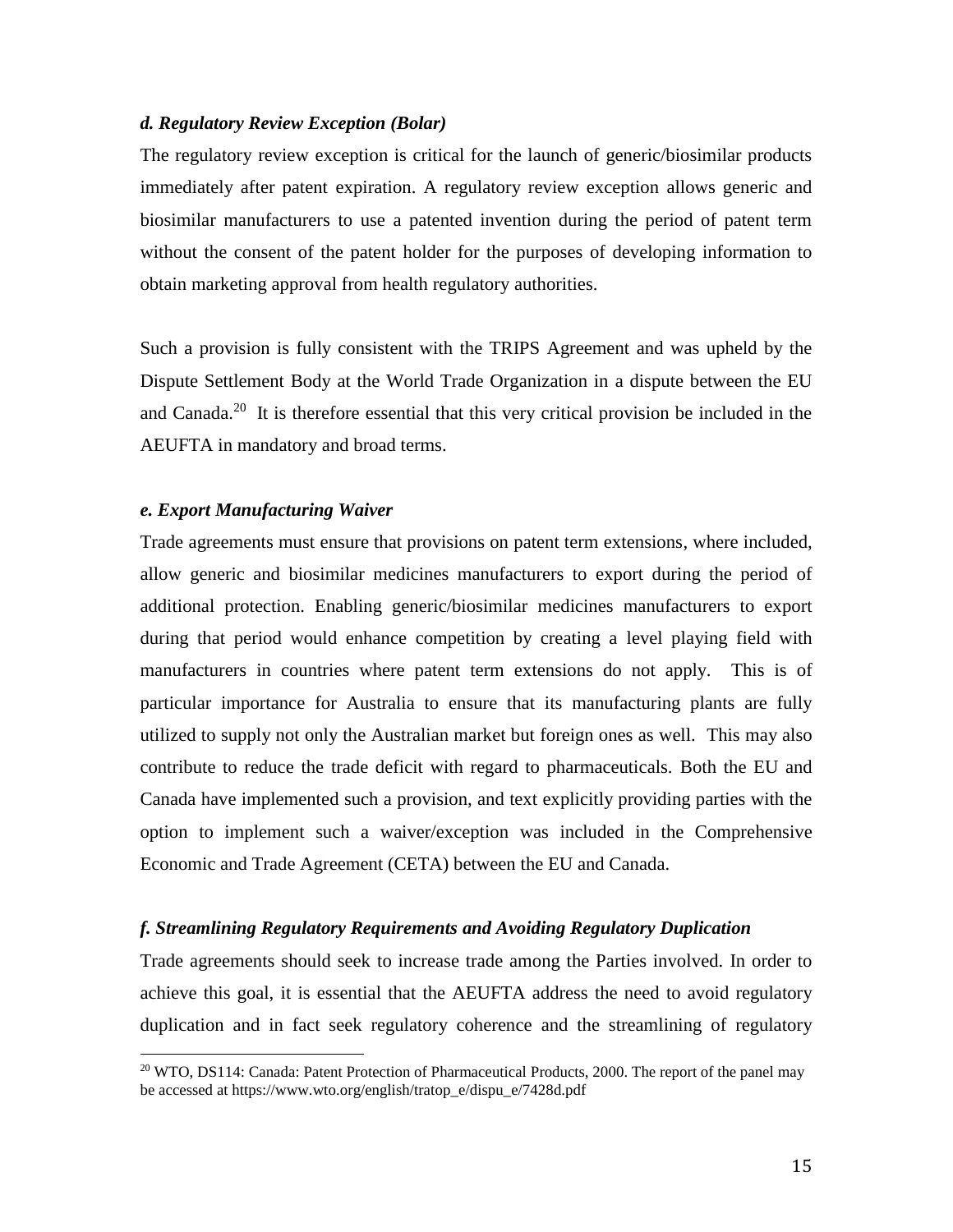#### *d. Regulatory Review Exception (Bolar)*

The regulatory review exception is critical for the launch of generic/biosimilar products immediately after patent expiration. A regulatory review exception allows generic and biosimilar manufacturers to use a patented invention during the period of patent term without the consent of the patent holder for the purposes of developing information to obtain marketing approval from health regulatory authorities.

Such a provision is fully consistent with the TRIPS Agreement and was upheld by the Dispute Settlement Body at the World Trade Organization in a dispute between the EU and Canada.<sup>20</sup> It is therefore essential that this very critical provision be included in the AEUFTA in mandatory and broad terms.

#### *e. Export Manufacturing Waiver*

 $\overline{a}$ 

Trade agreements must ensure that provisions on patent term extensions, where included, allow generic and biosimilar medicines manufacturers to export during the period of additional protection. Enabling generic/biosimilar medicines manufacturers to export during that period would enhance competition by creating a level playing field with manufacturers in countries where patent term extensions do not apply. This is of particular importance for Australia to ensure that its manufacturing plants are fully utilized to supply not only the Australian market but foreign ones as well. This may also contribute to reduce the trade deficit with regard to pharmaceuticals. Both the EU and Canada have implemented such a provision, and text explicitly providing parties with the option to implement such a waiver/exception was included in the Comprehensive Economic and Trade Agreement (CETA) between the EU and Canada.

#### *f. Streamlining Regulatory Requirements and Avoiding Regulatory Duplication*

Trade agreements should seek to increase trade among the Parties involved. In order to achieve this goal, it is essential that the AEUFTA address the need to avoid regulatory duplication and in fact seek regulatory coherence and the streamlining of regulatory

 $20$  WTO, DS114: Canada: Patent Protection of Pharmaceutical Products, 2000. The report of the panel may be accessed at https://www.wto.org/english/tratop\_e/dispu\_e/7428d.pdf